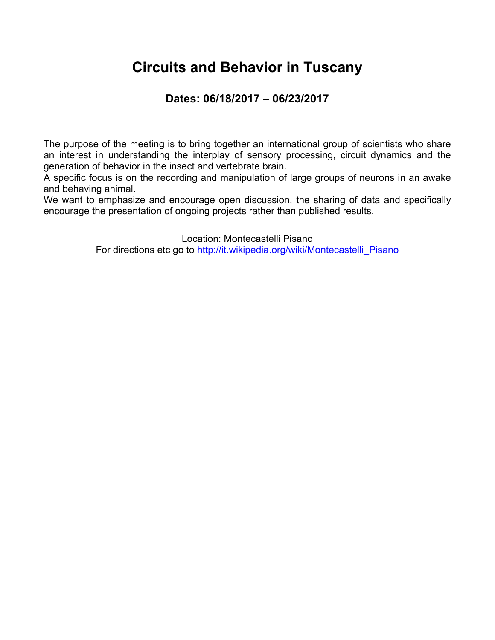### **Circuits and Behavior in Tuscany**

#### **Dates: 06/18/2017 – 06/23/2017**

The purpose of the meeting is to bring together an international group of scientists who share an interest in understanding the interplay of sensory processing, circuit dynamics and the generation of behavior in the insect and vertebrate brain.

A specific focus is on the recording and manipulation of large groups of neurons in an awake and behaving animal.

We want to emphasize and encourage open discussion, the sharing of data and specifically encourage the presentation of ongoing projects rather than published results.

Location: Montecastelli Pisano

For directions etc go to http://it.wikipedia.org/wiki/Montecastelli\_Pisano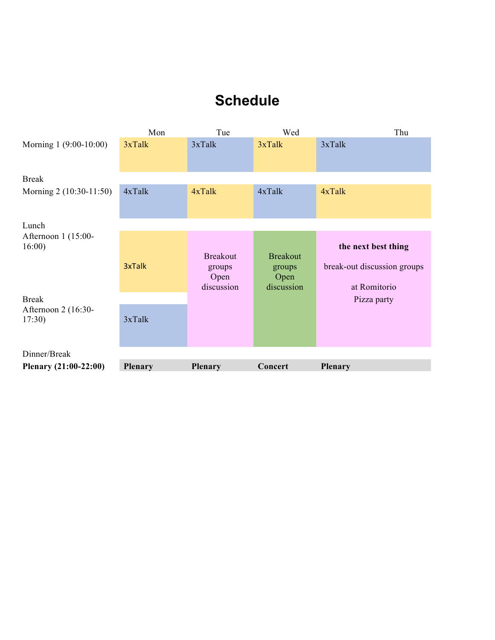### **Schedule**

| Plenary $(21:00-22:00)$               | <b>Plenary</b> | <b>Plenary</b>                                  | Concert                                         | Plenary                                                            |
|---------------------------------------|----------------|-------------------------------------------------|-------------------------------------------------|--------------------------------------------------------------------|
| Dinner/Break                          |                |                                                 |                                                 |                                                                    |
| Afternoon 2 (16:30-<br>17:30)         | 3xTalk         |                                                 |                                                 |                                                                    |
| <b>Break</b>                          |                |                                                 |                                                 | Pizza party                                                        |
| Lunch<br>Afternoon 1 (15:00-<br>16:00 | 3xTalk         | <b>Breakout</b><br>groups<br>Open<br>discussion | <b>Breakout</b><br>groups<br>Open<br>discussion | the next best thing<br>break-out discussion groups<br>at Romitorio |
| Morning 2 (10:30-11:50)               | 4xTalk         | 4xTalk                                          | 4xTalk                                          | 4xTalk                                                             |
| <b>Break</b>                          |                |                                                 |                                                 |                                                                    |
| Morning 1 (9:00-10:00)                | $3x$ Talk      | $3x$ Tal $k$                                    | $3x$ Talk                                       | 3xTalk                                                             |
|                                       | Mon            | Tue                                             | Wed                                             | Thu                                                                |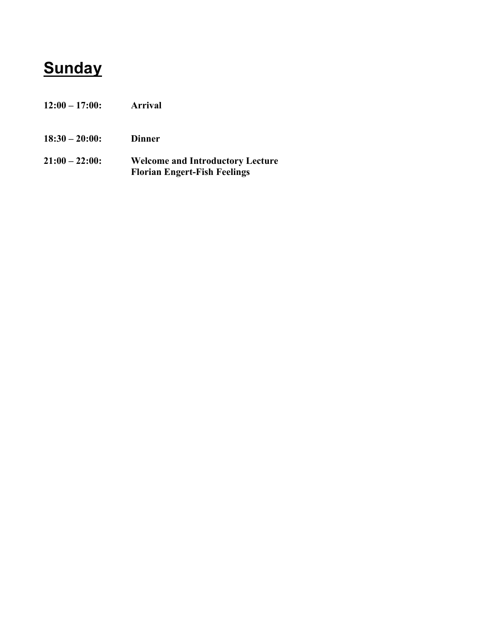# **Sunday**

- **12:00 – 17:00: Arrival**
- **18:30 – 20:00: Dinner**
- **21:00 – 22:00: Welcome and Introductory Lecture Florian Engert-Fish Feelings**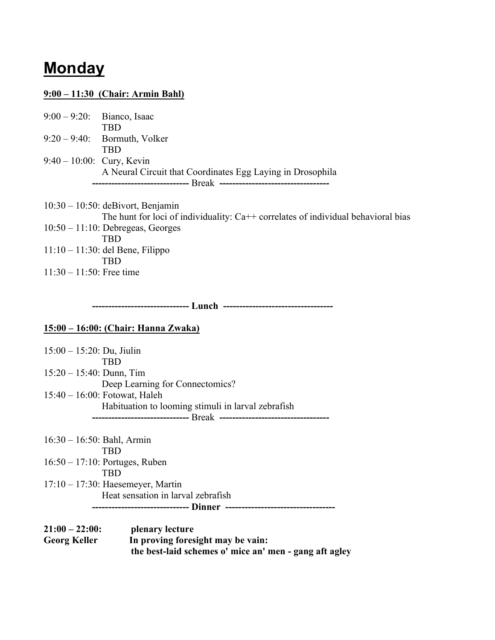### **Monday**

#### **9:00 – 11:30 (Chair: Armin Bahl)**

|                              | $9:00 - 9:20$ : Bianco, Isaac                              |
|------------------------------|------------------------------------------------------------|
|                              | TRD                                                        |
|                              | $9:20-9:40$ : Bormuth, Volker                              |
|                              | TRD                                                        |
| $9:40 - 10:00$ : Cury, Kevin |                                                            |
|                              | A Neural Circuit that Coordinates Egg Laying in Drosophila |
|                              |                                                            |

10:30 – 10:50: deBivort, Benjamin The hunt for loci of individuality: Ca++ correlates of individual behavioral bias 10:50 – 11:10: Debregeas, Georges TBD 11:10 – 11:30: del Bene, Filippo TBD 11:30 – 11:50: Free time

 **------------------------------ Lunch ----------------------------------**

#### **15:00 – 16:00: (Chair: Hanna Zwaka)**

| $15:00 - 15:20$ : Du, Jiulin                       |
|----------------------------------------------------|
| TRD                                                |
| $15:20 - 15:40$ : Dunn, Tim                        |
| Deep Learning for Connectomics?                    |
| $15:40 - 16:00$ : Fotowat, Haleh                   |
| Habituation to looming stimuli in larval zebrafish |
|                                                    |
|                                                    |

16:30 – 16:50: Bahl, Armin TBD 16:50 – 17:10: Portuges, Ruben TBD 17:10 – 17:30: Haesemeyer, Martin Heat sensation in larval zebrafish  **------------------------------ Dinner ----------------------------------**

| $21:00 - 22:00$ :   | plenary lecture                                        |
|---------------------|--------------------------------------------------------|
| <b>Georg Keller</b> | In proving foresight may be vain:                      |
|                     | the best-laid schemes o' mice an' men - gang aft agley |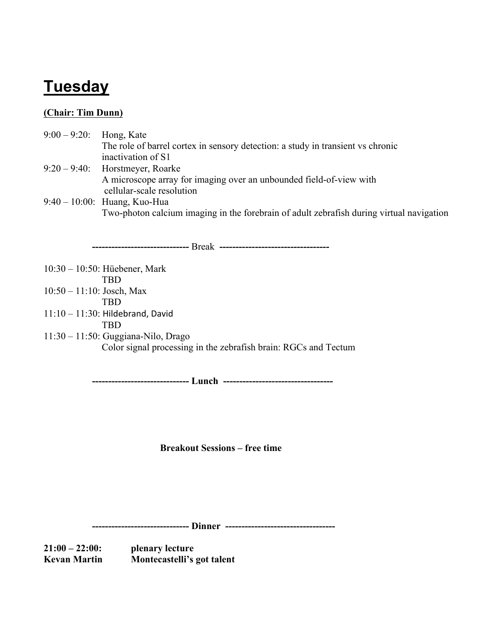# **Tuesday**

#### **(Chair: Tim Dunn)**

| $9:00 - 9:20$ | Hong, Kate                                                                               |
|---------------|------------------------------------------------------------------------------------------|
|               | The role of barrel cortex in sensory detection: a study in transient vs chronic          |
|               | inactivation of S1                                                                       |
|               | $9:20 - 9:40$ : Horstmeyer, Roarke                                                       |
|               | A microscope array for imaging over an unbounded field-of-view with                      |
|               | cellular-scale resolution                                                                |
|               | $9:40 - 10:00$ : Huang, Kuo-Hua                                                          |
|               | Two-photon calcium imaging in the forebrain of adult zebrafish during virtual navigation |
|               |                                                                                          |

 **------------------------------** Break **----------------------------------** 10:30 – 10:50: Hüebener, Mark TBD 10:50 – 11:10: Josch, Max TBD  $11:10 - 11:30$ : Hildebrand, David TBD 11:30 – 11:50: Guggiana-Nilo, Drago Color signal processing in the zebrafish brain: RGCs and Tectum

 **------------------------------ Lunch ----------------------------------**

**Breakout Sessions – free time**

 **------------------------------ Dinner ----------------------------------**

**21:00 – 22:00: plenary lecture Kevan Martin Montecastelli's got talent**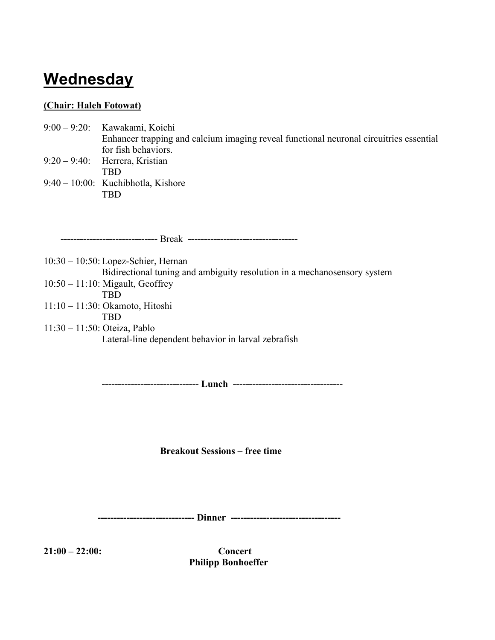## **Wednesday**

#### **(Chair: Haleh Fotowat)**

- 9:00 9:20: Kawakami, Koichi Enhancer trapping and calcium imaging reveal functional neuronal circuitries essential for fish behaviors. 9:20 – 9:40: Herrera, Kristian
- TBD 9:40 – 10:00: Kuchibhotla, Kishore TBD

 **------------------------------** Break **----------------------------------**

10:30 – 10:50: Lopez-Schier, Hernan Bidirectional tuning and ambiguity resolution in a mechanosensory system 10:50 – 11:10: Migault, Geoffrey TBD 11:10 – 11:30: Okamoto, Hitoshi TBD 11:30 – 11:50: Oteiza, Pablo Lateral-line dependent behavior in larval zebrafish

**------------------------------ Lunch ----------------------------------**

**Breakout Sessions – free time**

 **------------------------------ Dinner ----------------------------------**

**21:00 – 22:00: Concert Philipp Bonhoeffer**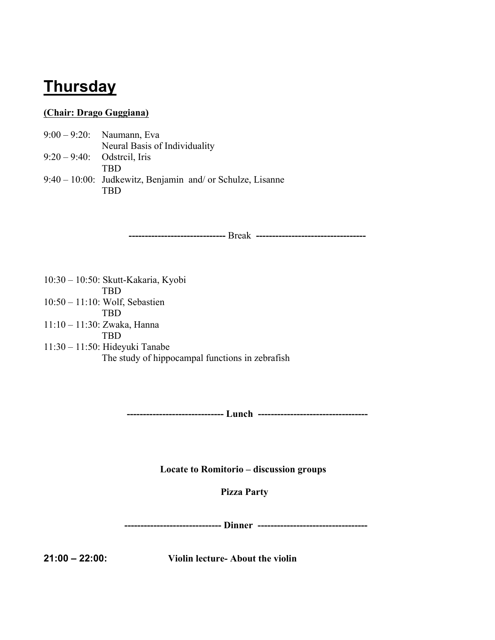### **Thursday**

#### **(Chair: Drago Guggiana)**

- 9:00 9:20: Naumann, Eva Neural Basis of Individuality 9:20 – 9:40: Odstrcil, Iris
- TBD
- 9:40 10:00: Judkewitz, Benjamin and/ or Schulze, Lisanne TBD

**------------------------------** Break **----------------------------------**

10:30 – 10:50: Skutt-Kakaria, Kyobi TBD 10:50 – 11:10: Wolf, Sebastien TBD 11:10 – 11:30: Zwaka, Hanna TBD 11:30 – 11:50: Hideyuki Tanabe The study of hippocampal functions in zebrafish

**------------------------------ Lunch ----------------------------------**

**Locate to Romitorio – discussion groups**

 **Pizza Party**

 **------------------------------ Dinner ----------------------------------**

**21:00 – 22:00: Violin lecture- About the violin**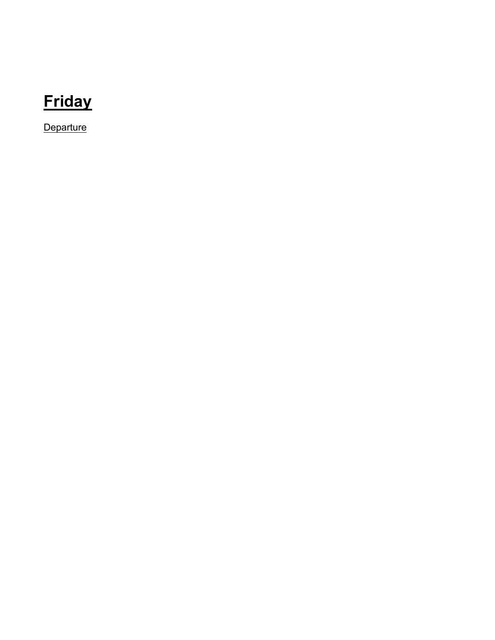# **Friday**

**Departure**